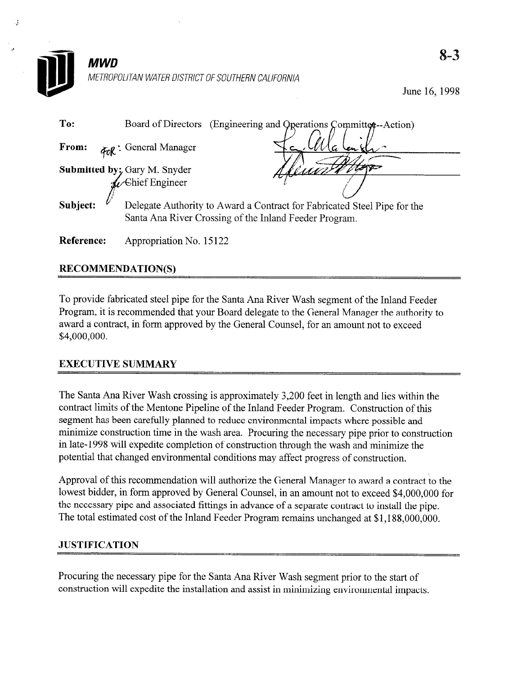| MWD        |                                                                          |                                               |  | $8 - 3$       |
|------------|--------------------------------------------------------------------------|-----------------------------------------------|--|---------------|
|            | METROPOLITAN WATER DISTRICT OF SOUTHERN CALIFORNIA                       |                                               |  | June 16, 1998 |
| To:        | Board of Directors                                                       | (Engineering and Operations Committee-Action) |  |               |
| From:      | For: General Manager                                                     |                                               |  |               |
|            | Submitted by; Gary M. Snyder                                             |                                               |  |               |
|            | <b>Chief Engineer</b>                                                    |                                               |  |               |
| Subject:   | Delegate Authority to Award a Contract for Fabricated Steel Pipe for the |                                               |  |               |
|            | Santa Ana River Crossing of the Inland Feeder Program.                   |                                               |  |               |
| Reference: | Appropriation No. 15122                                                  |                                               |  |               |

# RECOMMENDATION(S)

To provide fabricated steel pipe for the Santa Ana River Wash segment of the Inland Feeder Program, it is recommended that your Board delegate to the General Manager the authority to award a contract, in form approved by the General Counsel, for an amount not to exceed \$4,000,000.

# EXECUTIVE SUMMARY

The Santa Ana River Wash crossing is approximately 3,200 feet in length and lies within the contract limits of the Mentone Pipeline of the Inland Feeder Program. Construction of this segment has been carefully planned to reduce environmental impacts where possible and minimize construction time in the wash area. Procuring the necessary pipe prior to construction in late-l 998 will expedite completion of construction through the wash and minimize the potential that changed environmental conditions may affect progress of construction.

Approval of this recommendation will authorize the General Manager to award a contract to the lowest bidder, in form approved by General Counsel, in an amount not to exceed \$4,000,000 for the necessary pipe and associated fittings in advance of a separate contract to install the pipe. The total estimated cost of the Inland Feeder Program remains unchanged at \$1,188,000,000.

## **JUSTIFICATION**

Procuring the necessary pipe for the Santa Ana River Wash segment prior to the start of construction will expedite the installation and assist in minimizing environmental impacts.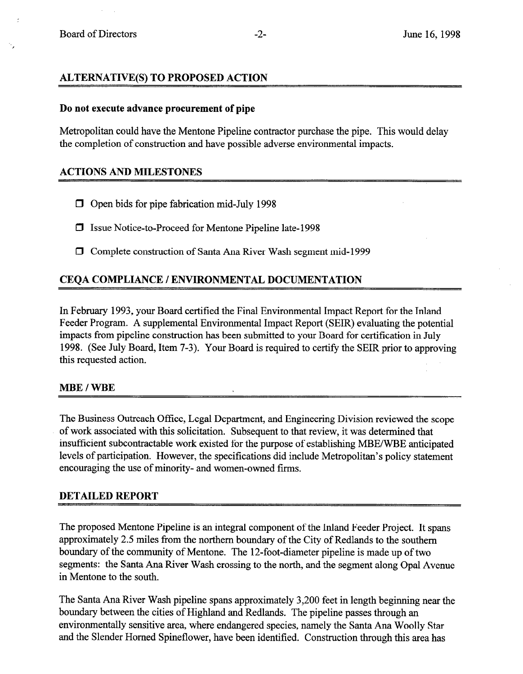## ALTERNATIVE(S) TO PROPOSED ACTION

#### Do not execute advance procurement of pipe

Metropolitan could have the Mentone Pipeline contractor purchase the pipe. This would delay the completion of construction and have possible adverse environmental impacts.

### ACTIONS AND MILESTONES

- $\Box$  Open bids for pipe fabrication mid-July 1998
- 0 Issue Notice-to-Proceed for Mentone Pipeline late-l 998
- 0 Complete construction of Santa Ana River Wash segment mid- 1999

## CEQA COMPLIANCE / ENVIRONMENTAL DOCUMENTATION

In February 1993, your Board certified the Final Environmental Impact Report for the Inland Feeder Program. A supplemental Environmental Impact Report (SEIR) evaluating the potential impacts from pipeline construction has been submitted to your Board for certification in July 1998. (See July Board, Item 7-3). Your Board is required to certify the SEIR prior to approving this requested action.

#### MBE / WBE

The Business Outreach Office, Legal Department, and Engineering Division reviewed the scope of work associated with this solicitation. Subsequent to that review, it was determined that insufficient subcontractable work existed for the purpose of establishing MBE/WBE anticipated levels of participation. However, the specifications did include Metropolitan's policy statement encouraging the use of minority- and women-owned firms.

### DETAILED REPORT

The proposed Mentone Pipeline is an integral component of the Inland Feeder Project. It spans approximately 2.5 miles from the northern boundary of the City of Redlands to the southern boundary of the community of Mentone. The 12-foot-diameter pipeline is made up of two segments: the Santa Ana River Wash crossing to the north, and the segment along Opal Avenue in Mentone to the south.

The Santa Ana River Wash pipeline spans approximately 3,200 feet in length beginning near the boundary between the cities of Highland and Redlands. The pipeline passes through an environmentally sensitive area, where endangered species, namely the Santa Ana Woolly Star and the Slender Homed Spineflower, have been identified. Construction through this area has